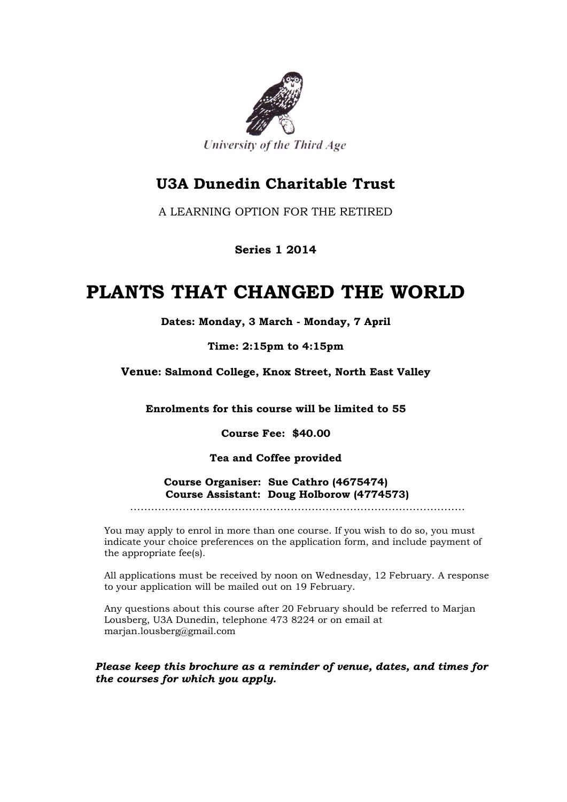

### **U3A Dunedin Charitable Trust**

A LEARNING OPTION FOR THE RETIRED

### **Series 1 2014**

## **PLANTS THAT CHANGED THE WORLD**

**Dates: Monday, 3 March - Monday, 7 April**

**Time: 2:15pm to 4:15pm**

**Venue: Salmond College, Knox Street, North East Valley**

**Enrolments for this course will be limited to 55**

**Course Fee: \$40.00**

**Tea and Coffee provided**

**Course Organiser: Sue Cathro (4675474) Course Assistant: Doug Holborow (4774573)**

……………………………………………………………………………………

You may apply to enrol in more than one course. If you wish to do so, you must indicate your choice preferences on the application form, and include payment of the appropriate fee(s).

All applications must be received by noon on Wednesday, 12 February. A response to your application will be mailed out on 19 February.

Any questions about this course after 20 February should be referred to Marjan Lousberg, U3A Dunedin, telephone 473 8224 or on email at marjan.lousberg@gmail.com

*Please keep this brochure as a reminder of venue, dates, and times for the courses for which you apply.*